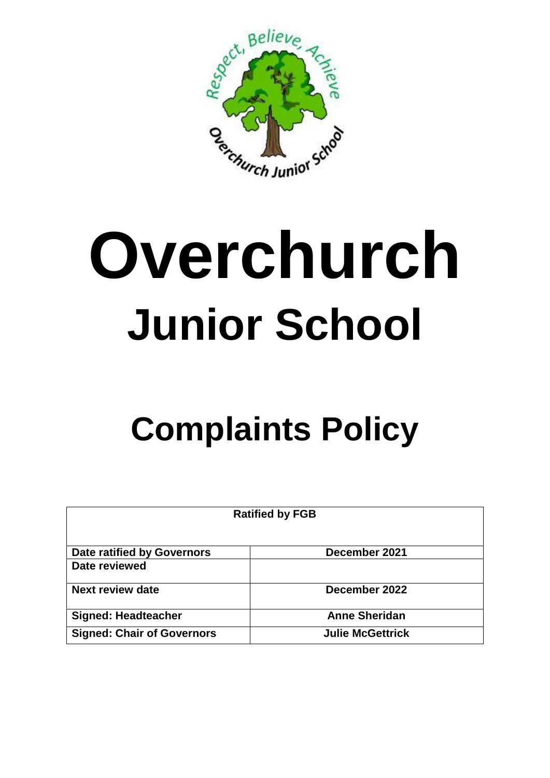

# **Overchurch Junior School**

## **Complaints Policy**

| <b>Ratified by FGB</b>            |                         |
|-----------------------------------|-------------------------|
| <b>Date ratified by Governors</b> | December 2021           |
| Date reviewed                     |                         |
| Next review date                  | December 2022           |
| <b>Signed: Headteacher</b>        | <b>Anne Sheridan</b>    |
| <b>Signed: Chair of Governors</b> | <b>Julie McGettrick</b> |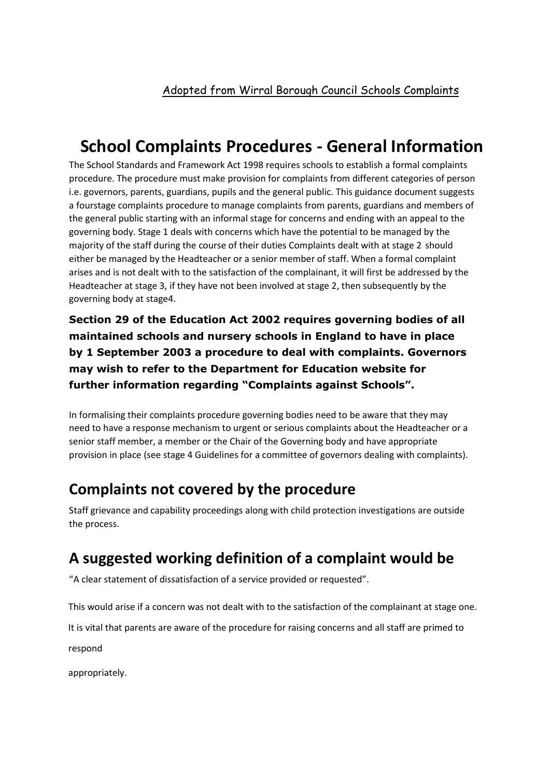#### **School Complaints Procedures - General Information**

The School Standards and Framework Act 1998 requires schools to establish a formal complaints procedure. The procedure must make provision for complaints from different categories of person i.e. governors, parents, guardians, pupils and the general public. This guidance document suggests a fourstage complaints procedure to manage complaints from parents, guardians and members of the general public starting with an informal stage for concerns and ending with an appeal to the governing body. Stage 1 deals with concerns which have the potential to be managed by the majority of the staff during the course of their duties Complaints dealt with at stage 2 should either be managed by the Headteacher or a senior member of staff. When a formal complaint arises and is not dealt with to the satisfaction of the complainant, it will first be addressed by the Headteacher at stage 3, if they have not been involved at stage 2, then subsequently by the governing body at stage4.

**Section 29 of the Education Act 2002 requires governing bodies of all maintained schools and nursery schools in England to have in place by 1 September 2003 a procedure to deal with complaints. Governors may wish to refer to the Department for Education website for further information regarding "Complaints against Schools".**

In formalising their complaints procedure governing bodies need to be aware that they may need to have a response mechanism to urgent or serious complaints about the Headteacher or a senior staff member, a member or the Chair of the Governing body and have appropriate provision in place (see stage 4 Guidelines for a committee of governors dealing with complaints).

#### **Complaints not covered by the procedure**

Staff grievance and capability proceedings along with child protection investigations are outside the process.

#### **A suggested working definition of a complaint would be**

"A clear statement of dissatisfaction of a service provided or requested".

This would arise if a concern was not dealt with to the satisfaction of the complainant at stage one.

It is vital that parents are aware of the procedure for raising concerns and all staff are primed to

respond

appropriately.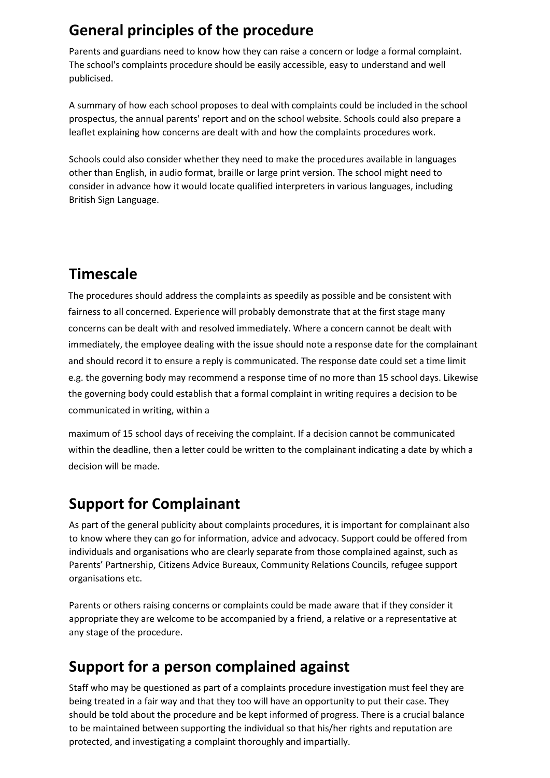#### **General principles of the procedure**

Parents and guardians need to know how they can raise a concern or lodge a formal complaint. The school's complaints procedure should be easily accessible, easy to understand and well publicised.

A summary of how each school proposes to deal with complaints could be included in the school prospectus, the annual parents' report and on the school website. Schools could also prepare a leaflet explaining how concerns are dealt with and how the complaints procedures work.

Schools could also consider whether they need to make the procedures available in languages other than English, in audio format, braille or large print version. The school might need to consider in advance how it would locate qualified interpreters in various languages, including British Sign Language.

#### **Timescale**

The procedures should address the complaints as speedily as possible and be consistent with fairness to all concerned. Experience will probably demonstrate that at the first stage many concerns can be dealt with and resolved immediately. Where a concern cannot be dealt with immediately, the employee dealing with the issue should note a response date for the complainant and should record it to ensure a reply is communicated. The response date could set a time limit e.g. the governing body may recommend a response time of no more than 15 school days. Likewise the governing body could establish that a formal complaint in writing requires a decision to be communicated in writing, within a

maximum of 15 school days of receiving the complaint. If a decision cannot be communicated within the deadline, then a letter could be written to the complainant indicating a date by which a decision will be made.

#### **Support for Complainant**

As part of the general publicity about complaints procedures, it is important for complainant also to know where they can go for information, advice and advocacy. Support could be offered from individuals and organisations who are clearly separate from those complained against, such as Parents' Partnership, Citizens Advice Bureaux, Community Relations Councils, refugee support organisations etc.

Parents or others raising concerns or complaints could be made aware that if they consider it appropriate they are welcome to be accompanied by a friend, a relative or a representative at any stage of the procedure.

#### **Support for a person complained against**

Staff who may be questioned as part of a complaints procedure investigation must feel they are being treated in a fair way and that they too will have an opportunity to put their case. They should be told about the procedure and be kept informed of progress. There is a crucial balance to be maintained between supporting the individual so that his/her rights and reputation are protected, and investigating a complaint thoroughly and impartially.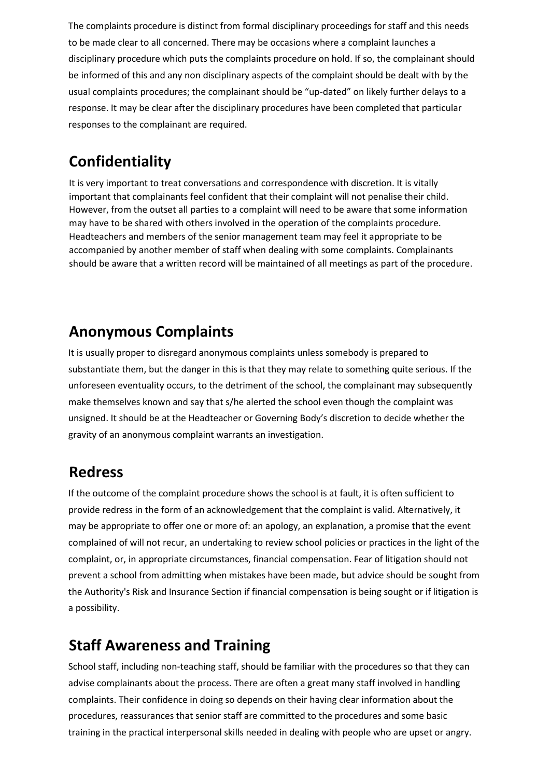The complaints procedure is distinct from formal disciplinary proceedings for staff and this needs to be made clear to all concerned. There may be occasions where a complaint launches a disciplinary procedure which puts the complaints procedure on hold. If so, the complainant should be informed of this and any non disciplinary aspects of the complaint should be dealt with by the usual complaints procedures; the complainant should be "up-dated" on likely further delays to a response. It may be clear after the disciplinary procedures have been completed that particular responses to the complainant are required.

#### **Confidentiality**

It is very important to treat conversations and correspondence with discretion. It is vitally important that complainants feel confident that their complaint will not penalise their child. However, from the outset all parties to a complaint will need to be aware that some information may have to be shared with others involved in the operation of the complaints procedure. Headteachers and members of the senior management team may feel it appropriate to be accompanied by another member of staff when dealing with some complaints. Complainants should be aware that a written record will be maintained of all meetings as part of the procedure.

#### **Anonymous Complaints**

It is usually proper to disregard anonymous complaints unless somebody is prepared to substantiate them, but the danger in this is that they may relate to something quite serious. If the unforeseen eventuality occurs, to the detriment of the school, the complainant may subsequently make themselves known and say that s/he alerted the school even though the complaint was unsigned. It should be at the Headteacher or Governing Body's discretion to decide whether the gravity of an anonymous complaint warrants an investigation.

#### **Redress**

If the outcome of the complaint procedure shows the school is at fault, it is often sufficient to provide redress in the form of an acknowledgement that the complaint is valid. Alternatively, it may be appropriate to offer one or more of: an apology, an explanation, a promise that the event complained of will not recur, an undertaking to review school policies or practices in the light of the complaint, or, in appropriate circumstances, financial compensation. Fear of litigation should not prevent a school from admitting when mistakes have been made, but advice should be sought from the Authority's Risk and Insurance Section if financial compensation is being sought or if litigation is a possibility.

#### **Staff Awareness and Training**

School staff, including non-teaching staff, should be familiar with the procedures so that they can advise complainants about the process. There are often a great many staff involved in handling complaints. Their confidence in doing so depends on their having clear information about the procedures, reassurances that senior staff are committed to the procedures and some basic training in the practical interpersonal skills needed in dealing with people who are upset or angry.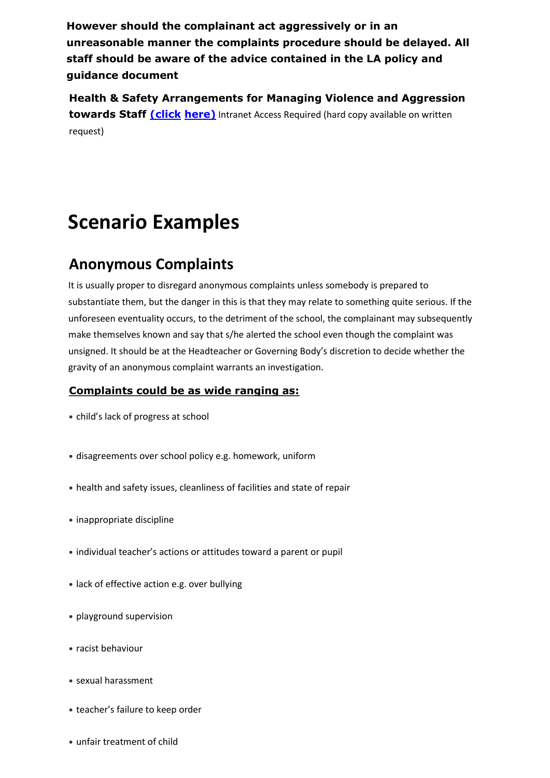**However should the complainant act aggressively or in an unreasonable manner the complaints procedure should be delayed. All staff should be aware of the advice contained in the LA policy and guidance document**

**Health & Safety Arrangements for Managing Violence and Aggression towards Staf[f](http://wbcnet.admin.ad.wirral.gov.uk/Personnel/Documents/HS_Violence%20%26%20Aggression.doc) [\(click](http://wbcnet.admin.ad.wirral.gov.uk/Personnel/Documents/HS_Violence%20%26%20Aggression.doc) [here\)](http://wbcnet.admin.ad.wirral.gov.uk/Personnel/Documents/HS_Violence%20%26%20Aggression.doc)** [In](http://wbcnet.admin.ad.wirral.gov.uk/Personnel/Documents/HS_Violence%20%26%20Aggression.doc)tranet Access Required (hard copy available on written request)

## **Scenario Examples**

#### **Anonymous Complaints**

It is usually proper to disregard anonymous complaints unless somebody is prepared to substantiate them, but the danger in this is that they may relate to something quite serious. If the unforeseen eventuality occurs, to the detriment of the school, the complainant may subsequently make themselves known and say that s/he alerted the school even though the complaint was unsigned. It should be at the Headteacher or Governing Body's discretion to decide whether the gravity of an anonymous complaint warrants an investigation.

#### **Complaints could be as wide ranging as:**

- child's lack of progress at school
- disagreements over school policy e.g. homework, uniform
- health and safety issues, cleanliness of facilities and state of repair
- inappropriate discipline
- individual teacher's actions or attitudes toward a parent or pupil
- lack of effective action e.g. over bullying
- playground supervision
- racist behaviour
- sexual harassment
- teacher's failure to keep order
- unfair treatment of child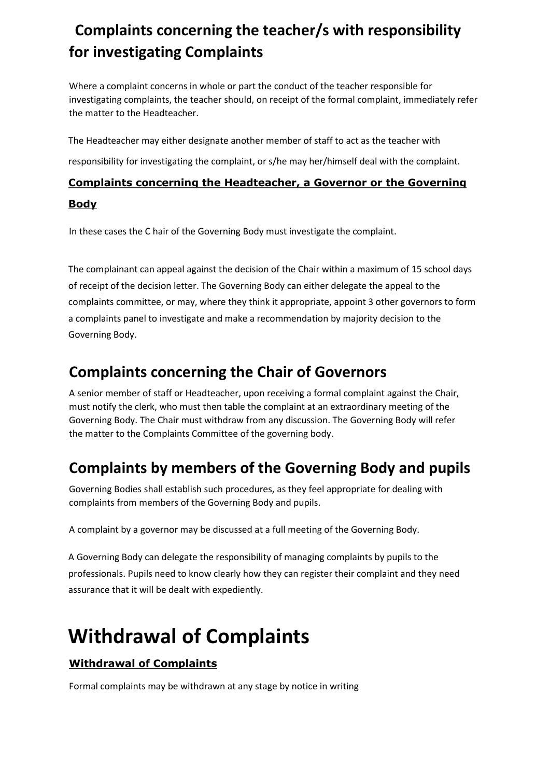#### **Complaints concerning the teacher/s with responsibility for investigating Complaints**

Where a complaint concerns in whole or part the conduct of the teacher responsible for investigating complaints, the teacher should, on receipt of the formal complaint, immediately refer the matter to the Headteacher.

The Headteacher may either designate another member of staff to act as the teacher with

responsibility for investigating the complaint, or s/he may her/himself deal with the complaint.

#### **Complaints concerning the Headteacher, a Governor or the Governing**

#### **Body**

In these cases the C hair of the Governing Body must investigate the complaint.

The complainant can appeal against the decision of the Chair within a maximum of 15 school days of receipt of the decision letter. The Governing Body can either delegate the appeal to the complaints committee, or may, where they think it appropriate, appoint 3 other governors to form a complaints panel to investigate and make a recommendation by majority decision to the Governing Body.

#### **Complaints concerning the Chair of Governors**

A senior member of staff or Headteacher, upon receiving a formal complaint against the Chair, must notify the clerk, who must then table the complaint at an extraordinary meeting of the Governing Body. The Chair must withdraw from any discussion. The Governing Body will refer the matter to the Complaints Committee of the governing body.

#### **Complaints by members of the Governing Body and pupils**

Governing Bodies shall establish such procedures, as they feel appropriate for dealing with complaints from members of the Governing Body and pupils.

A complaint by a governor may be discussed at a full meeting of the Governing Body.

A Governing Body can delegate the responsibility of managing complaints by pupils to the professionals. Pupils need to know clearly how they can register their complaint and they need assurance that it will be dealt with expediently.

## **Withdrawal of Complaints**

#### **Withdrawal of Complaints**

Formal complaints may be withdrawn at any stage by notice in writing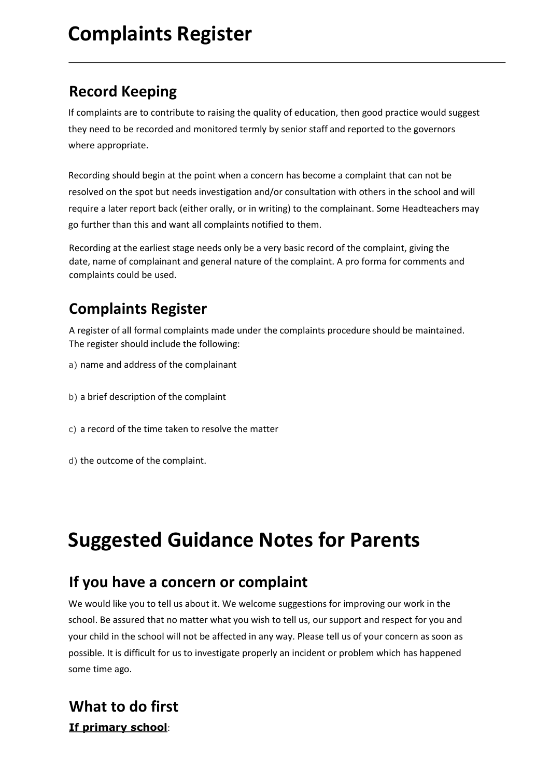## **Complaints Register**

#### **Record Keeping**

If complaints are to contribute to raising the quality of education, then good practice would suggest they need to be recorded and monitored termly by senior staff and reported to the governors where appropriate.

Recording should begin at the point when a concern has become a complaint that can not be resolved on the spot but needs investigation and/or consultation with others in the school and will require a later report back (either orally, or in writing) to the complainant. Some Headteachers may go further than this and want all complaints notified to them.

Recording at the earliest stage needs only be a very basic record of the complaint, giving the date, name of complainant and general nature of the complaint. A pro forma for comments and complaints could be used.

#### **Complaints Register**

A register of all formal complaints made under the complaints procedure should be maintained. The register should include the following:

- a) name and address of the complainant
- b) a brief description of the complaint
- c) a record of the time taken to resolve the matter
- d) the outcome of the complaint.

## **Suggested Guidance Notes for Parents**

#### **If you have a concern or complaint**

We would like you to tell us about it. We welcome suggestions for improving our work in the school. Be assured that no matter what you wish to tell us, our support and respect for you and your child in the school will not be affected in any way. Please tell us of your concern as soon as possible. It is difficult for us to investigate properly an incident or problem which has happened some time ago.

#### **What to do first If primary school**: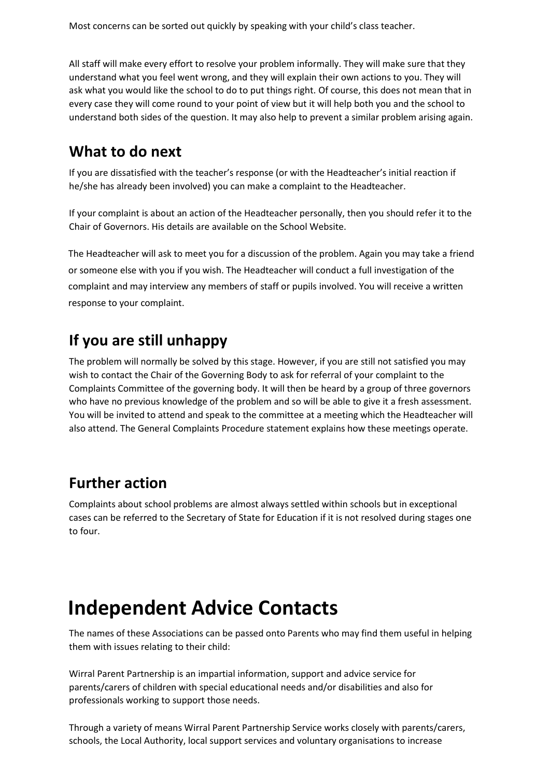Most concerns can be sorted out quickly by speaking with your child's class teacher.

All staff will make every effort to resolve your problem informally. They will make sure that they understand what you feel went wrong, and they will explain their own actions to you. They will ask what you would like the school to do to put things right. Of course, this does not mean that in every case they will come round to your point of view but it will help both you and the school to understand both sides of the question. It may also help to prevent a similar problem arising again.

#### **What to do next**

If you are dissatisfied with the teacher's response (or with the Headteacher's initial reaction if he/she has already been involved) you can make a complaint to the Headteacher.

If your complaint is about an action of the Headteacher personally, then you should refer it to the Chair of Governors. His details are available on the School Website.

The Headteacher will ask to meet you for a discussion of the problem. Again you may take a friend or someone else with you if you wish. The Headteacher will conduct a full investigation of the complaint and may interview any members of staff or pupils involved. You will receive a written response to your complaint.

#### **If you are still unhappy**

The problem will normally be solved by this stage. However, if you are still not satisfied you may wish to contact the Chair of the Governing Body to ask for referral of your complaint to the Complaints Committee of the governing body. It will then be heard by a group of three governors who have no previous knowledge of the problem and so will be able to give it a fresh assessment. You will be invited to attend and speak to the committee at a meeting which the Headteacher will also attend. The General Complaints Procedure statement explains how these meetings operate.

#### **Further action**

Complaints about school problems are almost always settled within schools but in exceptional cases can be referred to the Secretary of State for Education if it is not resolved during stages one to four.

## **Independent Advice Contacts**

The names of these Associations can be passed onto Parents who may find them useful in helping them with issues relating to their child:

Wirral Parent Partnership is an impartial information, support and advice service for parents/carers of children with special educational needs and/or disabilities and also for professionals working to support those needs.

Through a variety of means Wirral Parent Partnership Service works closely with parents/carers, schools, the Local Authority, local support services and voluntary organisations to increase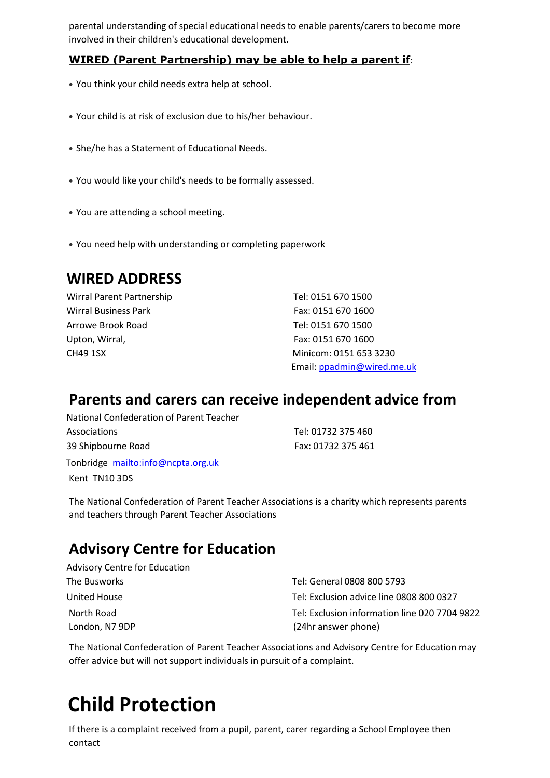parental understanding of special educational needs to enable parents/carers to become more involved in their children's educational development.

#### **WIRED (Parent Partnership) may be able to help a parent if**:

- You think your child needs extra help at school.
- Your child is at risk of exclusion due to his/her behaviour.
- She/he has a Statement of Educational Needs.
- You would like your child's needs to be formally assessed.
- You are attending a school meeting.
- You need help with understanding or completing paperwork

#### **WIRED ADDRESS**

Wirral Parent Partnership Tel: 0151 670 1500 Wirral Business Park Fax: 0151 670 1600 Arrowe Brook Road Tel: 0151 670 1500 Upton, Wirral, **Fax: 0151 670 1600** 

CH49 1SX Minicom: 0151 653 3230 Email: ppadmin@wired.me.uk

#### **Parents and carers can receive independent advice from**

National Confederation of Parent Teacher Associations **Tel: 01732 375 460** 39 Shipbourne Road Fax: 01732 375 461 Tonbridge mailto:info@ncpta.org.uk Kent TN10 3DS

The National Confederation of Parent Teacher Associations is a charity which represents parents and teachers through Parent Teacher Associations

#### **Advisory Centre for Education**

| <b>Advisory Centre for Education</b> |                                               |
|--------------------------------------|-----------------------------------------------|
| The Busworks                         | Tel: General 0808 800 5793                    |
| United House                         | Tel: Exclusion advice line 0808 800 0327      |
| North Road                           | Tel: Exclusion information line 020 7704 9822 |
| London, N7 9DP                       | (24hr answer phone)                           |

The National Confederation of Parent Teacher Associations and Advisory Centre for Education may offer advice but will not support individuals in pursuit of a complaint.

## **Child Protection**

If there is a complaint received from a pupil, parent, carer regarding a School Employee then contact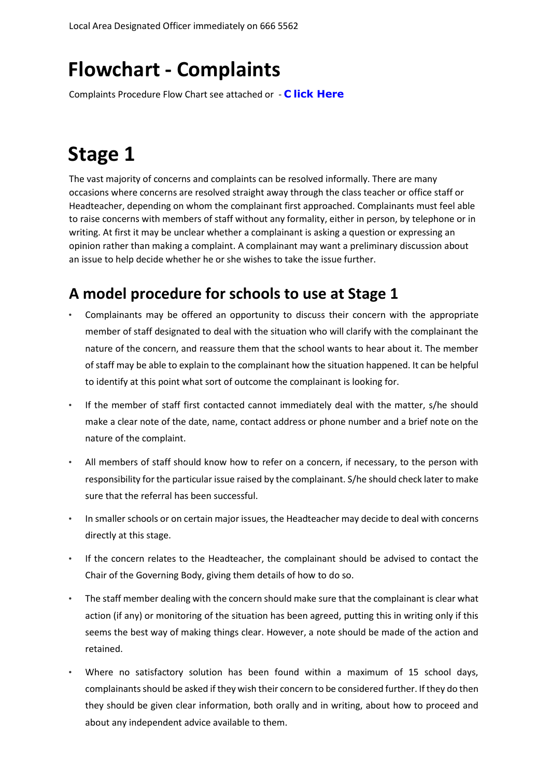## **Flowchart - Complaints**

Complaints Procedure Flow Chart see attached or [-](https://wescom.wirral.gov.uk/schools/fhm.php?dmObjectID=09015ff680132e21&action=retrieve&dmFileName=T1MgLSBDb21wbGFpbnRzIEZsb3djaGFydA==&dmEnv=bGl2ZQ==&dmRepoID=ZGN0bV9sZ2Nz) **[C](https://wescom.wirral.gov.uk/schools/fhm.php?dmObjectID=09015ff680132e21&action=retrieve&dmFileName=T1MgLSBDb21wbGFpbnRzIEZsb3djaGFydA==&dmEnv=bGl2ZQ==&dmRepoID=ZGN0bV9sZ2Nz) [lick Here](https://wescom.wirral.gov.uk/schools/fhm.php?dmObjectID=09015ff680132e21&action=retrieve&dmFileName=T1MgLSBDb21wbGFpbnRzIEZsb3djaGFydA==&dmEnv=bGl2ZQ==&dmRepoID=ZGN0bV9sZ2Nz)** 

## **Stage 1**

The vast majority of concerns and complaints can be resolved informally. There are many occasions where concerns are resolved straight away through the class teacher or office staff or Headteacher, depending on whom the complainant first approached. Complainants must feel able to raise concerns with members of staff without any formality, either in person, by telephone or in writing. At first it may be unclear whether a complainant is asking a question or expressing an opinion rather than making a complaint. A complainant may want a preliminary discussion about an issue to help decide whether he or she wishes to take the issue further.

#### **A model procedure for schools to use at Stage 1**

- Complainants may be offered an opportunity to discuss their concern with the appropriate member of staff designated to deal with the situation who will clarify with the complainant the nature of the concern, and reassure them that the school wants to hear about it. The member of staff may be able to explain to the complainant how the situation happened. It can be helpful to identify at this point what sort of outcome the complainant is looking for.
- If the member of staff first contacted cannot immediately deal with the matter, s/he should make a clear note of the date, name, contact address or phone number and a brief note on the nature of the complaint.
- All members of staff should know how to refer on a concern, if necessary, to the person with responsibility for the particular issue raised by the complainant. S/he should check later to make sure that the referral has been successful.
- In smaller schools or on certain major issues, the Headteacher may decide to deal with concerns directly at this stage.
- If the concern relates to the Headteacher, the complainant should be advised to contact the Chair of the Governing Body, giving them details of how to do so.
- The staff member dealing with the concern should make sure that the complainant is clear what action (if any) or monitoring of the situation has been agreed, putting this in writing only if this seems the best way of making things clear. However, a note should be made of the action and retained.
- Where no satisfactory solution has been found within a maximum of 15 school days, complainants should be asked if they wish their concern to be considered further. If they do then they should be given clear information, both orally and in writing, about how to proceed and about any independent advice available to them.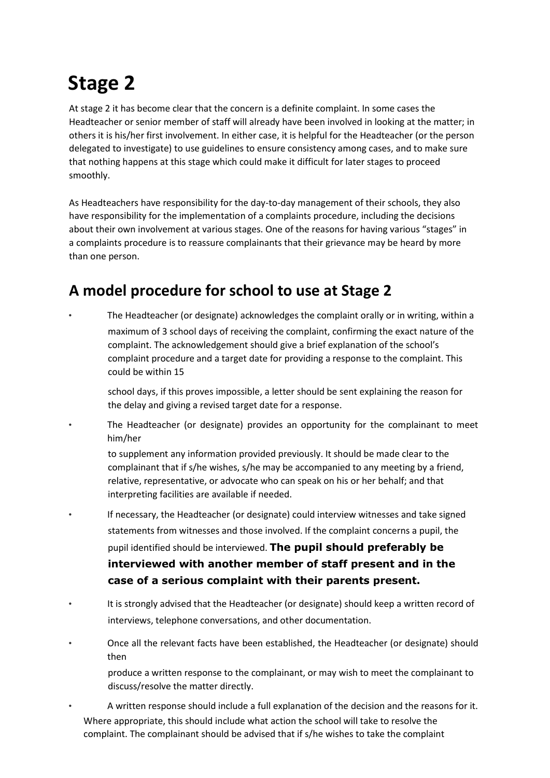## **Stage 2**

At stage 2 it has become clear that the concern is a definite complaint. In some cases the Headteacher or senior member of staff will already have been involved in looking at the matter; in others it is his/her first involvement. In either case, it is helpful for the Headteacher (or the person delegated to investigate) to use guidelines to ensure consistency among cases, and to make sure that nothing happens at this stage which could make it difficult for later stages to proceed smoothly.

As Headteachers have responsibility for the day-to-day management of their schools, they also have responsibility for the implementation of a complaints procedure, including the decisions about their own involvement at various stages. One of the reasons for having various "stages" in a complaints procedure is to reassure complainants that their grievance may be heard by more than one person.

#### **A model procedure for school to use at Stage 2**

• The Headteacher (or designate) acknowledges the complaint orally or in writing, within a maximum of 3 school days of receiving the complaint, confirming the exact nature of the complaint. The acknowledgement should give a brief explanation of the school's complaint procedure and a target date for providing a response to the complaint. This could be within 15

school days, if this proves impossible, a letter should be sent explaining the reason for the delay and giving a revised target date for a response.

• The Headteacher (or designate) provides an opportunity for the complainant to meet him/her

to supplement any information provided previously. It should be made clear to the complainant that if s/he wishes, s/he may be accompanied to any meeting by a friend, relative, representative, or advocate who can speak on his or her behalf; and that interpreting facilities are available if needed.

- If necessary, the Headteacher (or designate) could interview witnesses and take signed statements from witnesses and those involved. If the complaint concerns a pupil, the pupil identified should be interviewed. **The pupil should preferably be interviewed with another member of staff present and in the case of a serious complaint with their parents present.**
- It is strongly advised that the Headteacher (or designate) should keep a written record of interviews, telephone conversations, and other documentation.
- Once all the relevant facts have been established, the Headteacher (or designate) should then

produce a written response to the complainant, or may wish to meet the complainant to discuss/resolve the matter directly.

• A written response should include a full explanation of the decision and the reasons for it. Where appropriate, this should include what action the school will take to resolve the complaint. The complainant should be advised that if s/he wishes to take the complaint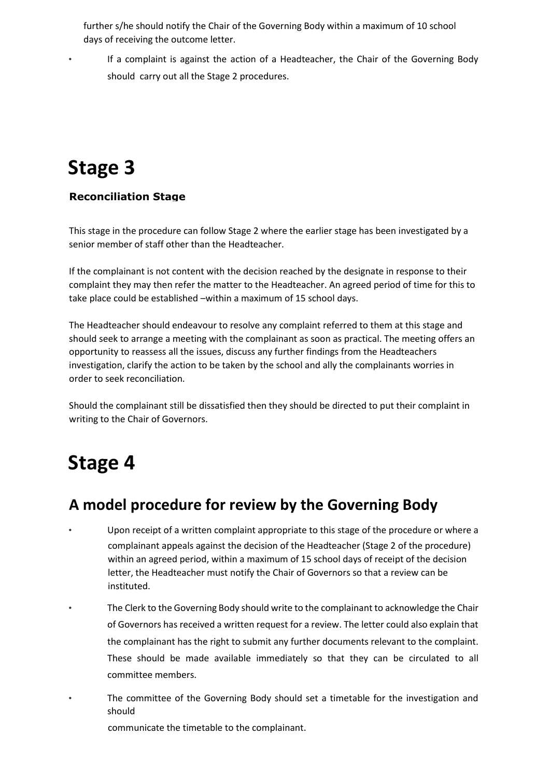further s/he should notify the Chair of the Governing Body within a maximum of 10 school days of receiving the outcome letter.

• If a complaint is against the action of a Headteacher, the Chair of the Governing Body should carry out all the Stage 2 procedures.

## **Stage 3**

#### **Reconciliation Stage**

This stage in the procedure can follow Stage 2 where the earlier stage has been investigated by a senior member of staff other than the Headteacher.

If the complainant is not content with the decision reached by the designate in response to their complaint they may then refer the matter to the Headteacher. An agreed period of time for this to take place could be established –within a maximum of 15 school days.

The Headteacher should endeavour to resolve any complaint referred to them at this stage and should seek to arrange a meeting with the complainant as soon as practical. The meeting offers an opportunity to reassess all the issues, discuss any further findings from the Headteachers investigation, clarify the action to be taken by the school and ally the complainants worries in order to seek reconciliation.

Should the complainant still be dissatisfied then they should be directed to put their complaint in writing to the Chair of Governors.

### **Stage 4**

#### **A model procedure for review by the Governing Body**

- Upon receipt of a written complaint appropriate to this stage of the procedure or where a complainant appeals against the decision of the Headteacher (Stage 2 of the procedure) within an agreed period, within a maximum of 15 school days of receipt of the decision letter, the Headteacher must notify the Chair of Governors so that a review can be instituted.
- The Clerk to the Governing Body should write to the complainant to acknowledge the Chair of Governors has received a written request for a review. The letter could also explain that the complainant has the right to submit any further documents relevant to the complaint. These should be made available immediately so that they can be circulated to all committee members.
- The committee of the Governing Body should set a timetable for the investigation and should

communicate the timetable to the complainant.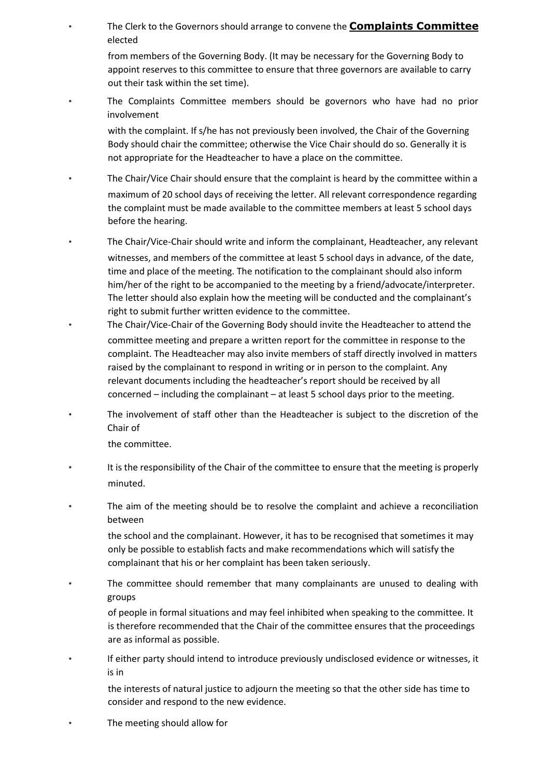• The Clerk to the Governors should arrange to convene th[e](https://wescom.wirral.gov.uk/other-services/school-complaints-excluding-academies-u/c/stage-4/complaints-committee) **[Complaints Committee](https://wescom.wirral.gov.uk/other-services/school-complaints-excluding-academies-u/c/stage-4/complaints-committee)** [el](https://wescom.wirral.gov.uk/other-services/school-complaints-excluding-academies-u/c/stage-4/complaints-committee)ected

from members of the Governing Body. (It may be necessary for the Governing Body to appoint reserves to this committee to ensure that three governors are available to carry out their task within the set time).

• The Complaints Committee members should be governors who have had no prior involvement

with the complaint. If s/he has not previously been involved, the Chair of the Governing Body should chair the committee; otherwise the Vice Chair should do so. Generally it is not appropriate for the Headteacher to have a place on the committee.

- The Chair/Vice Chair should ensure that the complaint is heard by the committee within a maximum of 20 school days of receiving the letter. All relevant correspondence regarding the complaint must be made available to the committee members at least 5 school days before the hearing.
- The Chair/Vice-Chair should write and inform the complainant, Headteacher, any relevant witnesses, and members of the committee at least 5 school days in advance, of the date, time and place of the meeting. The notification to the complainant should also inform him/her of the right to be accompanied to the meeting by a friend/advocate/interpreter. The letter should also explain how the meeting will be conducted and the complainant's right to submit further written evidence to the committee.
	- The Chair/Vice-Chair of the Governing Body should invite the Headteacher to attend the committee meeting and prepare a written report for the committee in response to the complaint. The Headteacher may also invite members of staff directly involved in matters raised by the complainant to respond in writing or in person to the complaint. Any relevant documents including the headteacher's report should be received by all concerned – including the complainant – at least 5 school days prior to the meeting.
- The involvement of staff other than the Headteacher is subject to the discretion of the Chair of

the committee.

- It is the responsibility of the Chair of the committee to ensure that the meeting is properly minuted.
- The aim of the meeting should be to resolve the complaint and achieve a reconciliation between

the school and the complainant. However, it has to be recognised that sometimes it may only be possible to establish facts and make recommendations which will satisfy the complainant that his or her complaint has been taken seriously.

The committee should remember that many complainants are unused to dealing with groups

of people in formal situations and may feel inhibited when speaking to the committee. It is therefore recommended that the Chair of the committee ensures that the proceedings are as informal as possible.

• If either party should intend to introduce previously undisclosed evidence or witnesses, it is in

the interests of natural justice to adjourn the meeting so that the other side has time to consider and respond to the new evidence.

The meeting should allow for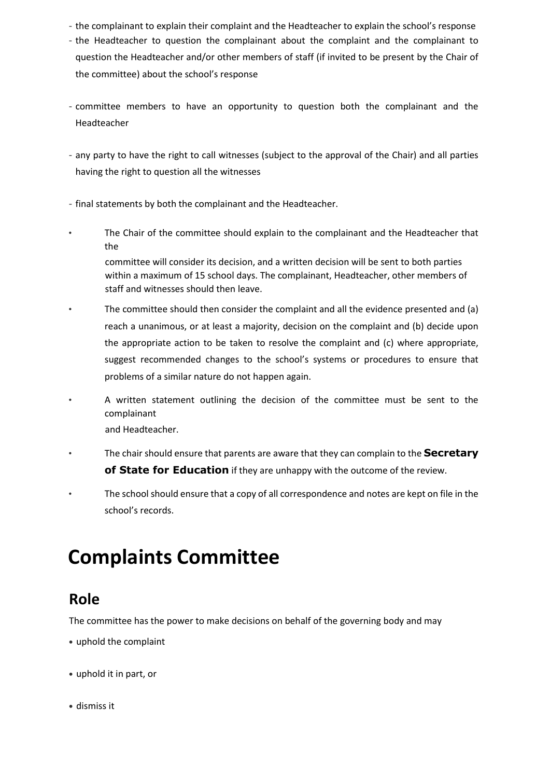- the complainant to explain their complaint and the Headteacher to explain the school's response
- the Headteacher to question the complainant about the complaint and the complainant to question the Headteacher and/or other members of staff (if invited to be present by the Chair of the committee) about the school's response
- committee members to have an opportunity to question both the complainant and the Headteacher
- any party to have the right to call witnesses (subject to the approval of the Chair) and all parties having the right to question all the witnesses
- final statements by both the complainant and the Headteacher.
- The Chair of the committee should explain to the complainant and the Headteacher that the

committee will consider its decision, and a written decision will be sent to both parties within a maximum of 15 school days. The complainant, Headteacher, other members of staff and witnesses should then leave.

- The committee should then consider the complaint and all the evidence presented and (a) reach a unanimous, or at least a majority, decision on the complaint and (b) decide upon the appropriate action to be taken to resolve the complaint and (c) where appropriate, suggest recommended changes to the school's systems or procedures to ensure that problems of a similar nature do not happen again.
- A written statement outlining the decision of the committee must be sent to the complainant and Headteacher.
- The chair should ensure that parents are aware that they can complain to the **Secretary of State for Education** if they are unhappy with the outcome of the review.
- The school should ensure that a copy of all correspondence and notes are kept on file in the school's records.

## **Complaints Committee**

#### **Role**

The committee has the power to make decisions on behalf of the governing body and may

- uphold the complaint
- uphold it in part, or
- dismiss it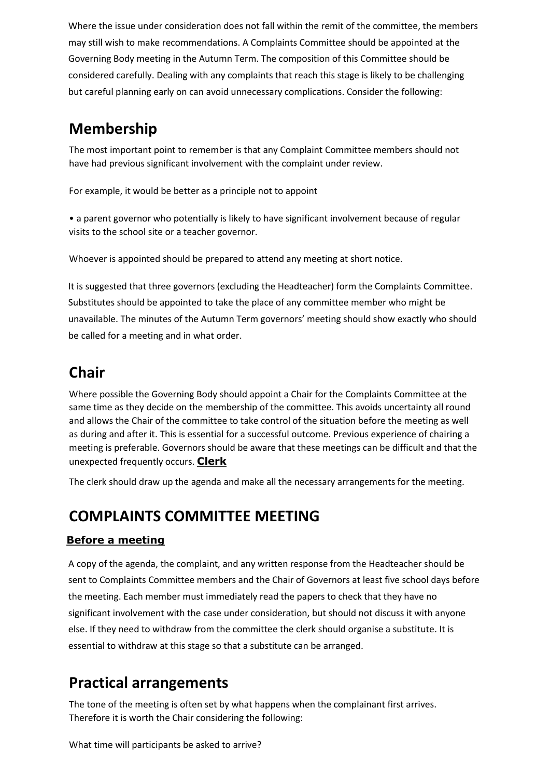Where the issue under consideration does not fall within the remit of the committee, the members may still wish to make recommendations. A Complaints Committee should be appointed at the Governing Body meeting in the Autumn Term. The composition of this Committee should be considered carefully. Dealing with any complaints that reach this stage is likely to be challenging but careful planning early on can avoid unnecessary complications. Consider the following:

#### **Membership**

The most important point to remember is that any Complaint Committee members should not have had previous significant involvement with the complaint under review.

For example, it would be better as a principle not to appoint

• a parent governor who potentially is likely to have significant involvement because of regular visits to the school site or a teacher governor.

Whoever is appointed should be prepared to attend any meeting at short notice.

It is suggested that three governors (excluding the Headteacher) form the Complaints Committee. Substitutes should be appointed to take the place of any committee member who might be unavailable. The minutes of the Autumn Term governors' meeting should show exactly who should be called for a meeting and in what order.

#### **Chair**

Where possible the Governing Body should appoint a Chair for the Complaints Committee at the same time as they decide on the membership of the committee. This avoids uncertainty all round and allows the Chair of the committee to take control of the situation before the meeting as well as during and after it. This is essential for a successful outcome. Previous experience of chairing a meeting is preferable. Governors should be aware that these meetings can be difficult and that the unexpected frequently occurs. **Clerk**

The clerk should draw up the agenda and make all the necessary arrangements for the meeting.

#### **COMPLAINTS COMMITTEE MEETING**

#### **Before a meeting**

A copy of the agenda, the complaint, and any written response from the Headteacher should be sent to Complaints Committee members and the Chair of Governors at least five school days before the meeting. Each member must immediately read the papers to check that they have no significant involvement with the case under consideration, but should not discuss it with anyone else. If they need to withdraw from the committee the clerk should organise a substitute. It is essential to withdraw at this stage so that a substitute can be arranged.

#### **Practical arrangements**

The tone of the meeting is often set by what happens when the complainant first arrives. Therefore it is worth the Chair considering the following:

What time will participants be asked to arrive?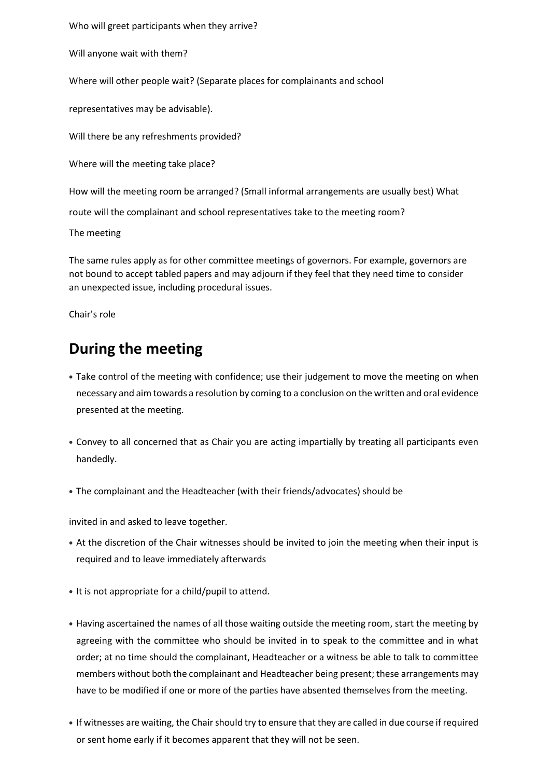Who will greet participants when they arrive?

Will anyone wait with them?

Where will other people wait? (Separate places for complainants and school

representatives may be advisable).

Will there be any refreshments provided?

Where will the meeting take place?

How will the meeting room be arranged? (Small informal arrangements are usually best) What

route will the complainant and school representatives take to the meeting room?

The meeting

The same rules apply as for other committee meetings of governors. For example, governors are not bound to accept tabled papers and may adjourn if they feel that they need time to consider an unexpected issue, including procedural issues.

Chair's role

#### **During the meeting**

- Take control of the meeting with confidence; use their judgement to move the meeting on when necessary and aim towards a resolution by coming to a conclusion on the written and oral evidence presented at the meeting.
- Convey to all concerned that as Chair you are acting impartially by treating all participants even handedly.
- The complainant and the Headteacher (with their friends/advocates) should be

invited in and asked to leave together.

- At the discretion of the Chair witnesses should be invited to join the meeting when their input is required and to leave immediately afterwards
- It is not appropriate for a child/pupil to attend.
- Having ascertained the names of all those waiting outside the meeting room, start the meeting by agreeing with the committee who should be invited in to speak to the committee and in what order; at no time should the complainant, Headteacher or a witness be able to talk to committee members without both the complainant and Headteacher being present; these arrangements may have to be modified if one or more of the parties have absented themselves from the meeting.
- If witnesses are waiting, the Chair should try to ensure that they are called in due course if required or sent home early if it becomes apparent that they will not be seen.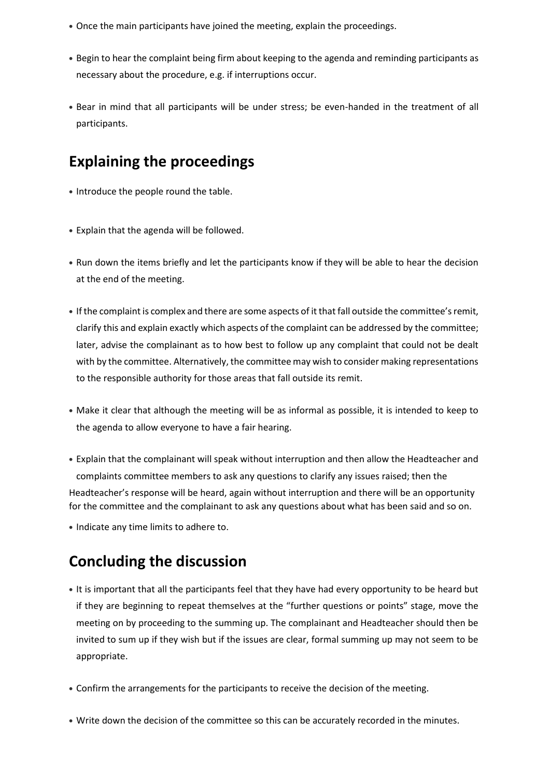- Once the main participants have joined the meeting, explain the proceedings.
- Begin to hear the complaint being firm about keeping to the agenda and reminding participants as necessary about the procedure, e.g. if interruptions occur.
- Bear in mind that all participants will be under stress; be even-handed in the treatment of all participants.

#### **Explaining the proceedings**

- Introduce the people round the table.
- Explain that the agenda will be followed.
- Run down the items briefly and let the participants know if they will be able to hear the decision at the end of the meeting.
- If the complaint is complex and there are some aspects of it that fall outside the committee's remit, clarify this and explain exactly which aspects of the complaint can be addressed by the committee; later, advise the complainant as to how best to follow up any complaint that could not be dealt with by the committee. Alternatively, the committee may wish to consider making representations to the responsible authority for those areas that fall outside its remit.
- Make it clear that although the meeting will be as informal as possible, it is intended to keep to the agenda to allow everyone to have a fair hearing.
- Explain that the complainant will speak without interruption and then allow the Headteacher and complaints committee members to ask any questions to clarify any issues raised; then the Headteacher's response will be heard, again without interruption and there will be an opportunity for the committee and the complainant to ask any questions about what has been said and so on.
- Indicate any time limits to adhere to.

#### **Concluding the discussion**

- It is important that all the participants feel that they have had every opportunity to be heard but if they are beginning to repeat themselves at the "further questions or points" stage, move the meeting on by proceeding to the summing up. The complainant and Headteacher should then be invited to sum up if they wish but if the issues are clear, formal summing up may not seem to be appropriate.
- Confirm the arrangements for the participants to receive the decision of the meeting.
- Write down the decision of the committee so this can be accurately recorded in the minutes.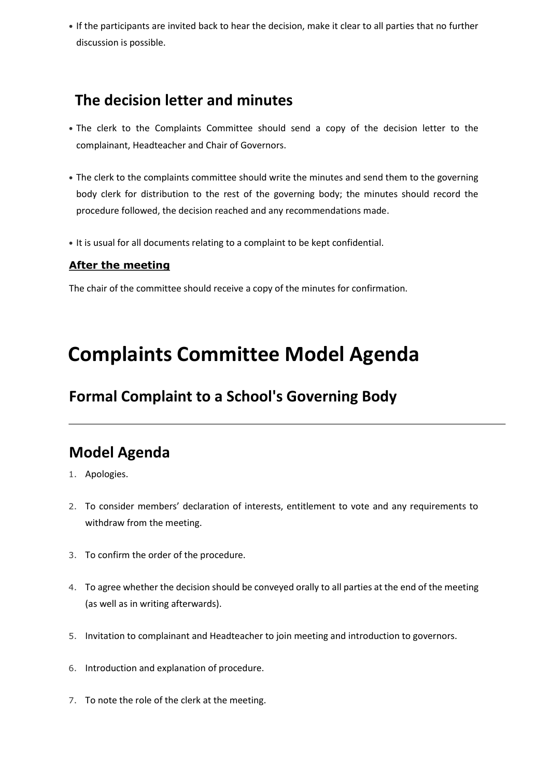• If the participants are invited back to hear the decision, make it clear to all parties that no further discussion is possible.

#### **The decision letter and minutes**

- The clerk to the Complaints Committee should send a copy of the decision letter to the complainant, Headteacher and Chair of Governors.
- The clerk to the complaints committee should write the minutes and send them to the governing body clerk for distribution to the rest of the governing body; the minutes should record the procedure followed, the decision reached and any recommendations made.
- It is usual for all documents relating to a complaint to be kept confidential.

#### **After the meeting**

The chair of the committee should receive a copy of the minutes for confirmation.

## **Complaints Committee Model Agenda**

#### **Formal Complaint to a School's Governing Body**

#### **Model Agenda**

- 1. Apologies.
- 2. To consider members' declaration of interests, entitlement to vote and any requirements to withdraw from the meeting.
- 3. To confirm the order of the procedure.
- 4. To agree whether the decision should be conveyed orally to all parties at the end of the meeting (as well as in writing afterwards).
- 5. Invitation to complainant and Headteacher to join meeting and introduction to governors.
- 6. Introduction and explanation of procedure.
- 7. To note the role of the clerk at the meeting.